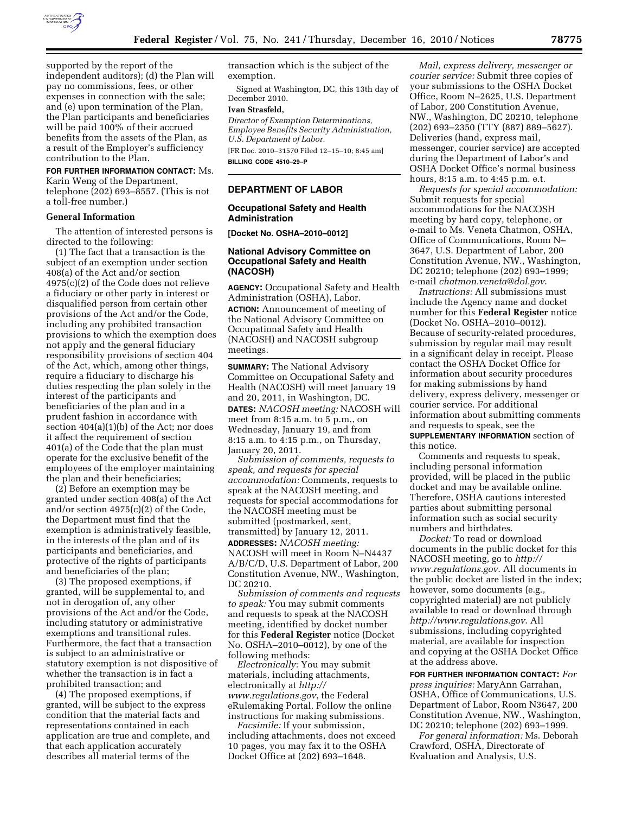

supported by the report of the independent auditors); (d) the Plan will pay no commissions, fees, or other expenses in connection with the sale; and (e) upon termination of the Plan, the Plan participants and beneficiaries will be paid 100% of their accrued benefits from the assets of the Plan, as a result of the Employer's sufficiency contribution to the Plan.

## **FOR FURTHER INFORMATION CONTACT:** Ms.

Karin Weng of the Department, telephone (202) 693–8557. (This is not a toll-free number.)

#### **General Information**

The attention of interested persons is directed to the following:

(1) The fact that a transaction is the subject of an exemption under section 408(a) of the Act and/or section 4975(c)(2) of the Code does not relieve a fiduciary or other party in interest or disqualified person from certain other provisions of the Act and/or the Code, including any prohibited transaction provisions to which the exemption does not apply and the general fiduciary responsibility provisions of section 404 of the Act, which, among other things, require a fiduciary to discharge his duties respecting the plan solely in the interest of the participants and beneficiaries of the plan and in a prudent fashion in accordance with section 404(a)(1)(b) of the Act; nor does it affect the requirement of section 401(a) of the Code that the plan must operate for the exclusive benefit of the employees of the employer maintaining the plan and their beneficiaries;

(2) Before an exemption may be granted under section 408(a) of the Act and/or section 4975(c)(2) of the Code, the Department must find that the exemption is administratively feasible, in the interests of the plan and of its participants and beneficiaries, and protective of the rights of participants and beneficiaries of the plan;

(3) The proposed exemptions, if granted, will be supplemental to, and not in derogation of, any other provisions of the Act and/or the Code, including statutory or administrative exemptions and transitional rules. Furthermore, the fact that a transaction is subject to an administrative or statutory exemption is not dispositive of whether the transaction is in fact a prohibited transaction; and

(4) The proposed exemptions, if granted, will be subject to the express condition that the material facts and representations contained in each application are true and complete, and that each application accurately describes all material terms of the

transaction which is the subject of the exemption.

Signed at Washington, DC, this 13th day of December 2010.

# **Ivan Strasfeld,**

*Director of Exemption Determinations, Employee Benefits Security Administration, U.S. Department of Labor.* 

[FR Doc. 2010–31570 Filed 12–15–10; 8:45 am] **BILLING CODE 4510–29–P** 

#### **DEPARTMENT OF LABOR**

#### **Occupational Safety and Health Administration**

**[Docket No. OSHA–2010–0012]** 

## **National Advisory Committee on Occupational Safety and Health (NACOSH)**

**AGENCY:** Occupational Safety and Health Administration (OSHA), Labor. **ACTION:** Announcement of meeting of the National Advisory Committee on Occupational Safety and Health (NACOSH) and NACOSH subgroup meetings.

**SUMMARY:** The National Advisory Committee on Occupational Safety and Health (NACOSH) will meet January 19 and 20, 2011, in Washington, DC. **DATES:** *NACOSH meeting:* NACOSH will meet from 8:15 a.m. to 5 p.m., on Wednesday, January 19, and from 8:15 a.m. to 4:15 p.m., on Thursday, January 20, 2011.

*Submission of comments, requests to speak, and requests for special accommodation:* Comments, requests to speak at the NACOSH meeting, and requests for special accommodations for the NACOSH meeting must be submitted (postmarked, sent, transmitted) by January 12, 2011. **ADDRESSES:** *NACOSH meeting:*  NACOSH will meet in Room N–N4437 A/B/C/D, U.S. Department of Labor, 200 Constitution Avenue, NW., Washington, DC 20210.

*Submission of comments and requests to speak:* You may submit comments and requests to speak at the NACOSH meeting, identified by docket number for this **Federal Register** notice (Docket No. OSHA–2010–0012), by one of the following methods:

*Electronically:* You may submit materials, including attachments, electronically at *[http://](http://www.regulations.gov) [www.regulations.gov](http://www.regulations.gov)*, the Federal eRulemaking Portal. Follow the online instructions for making submissions.

*Facsimile:* If your submission, including attachments, does not exceed 10 pages, you may fax it to the OSHA Docket Office at (202) 693–1648.

*Mail, express delivery, messenger or courier service:* Submit three copies of your submissions to the OSHA Docket Office, Room N–2625, U.S. Department of Labor, 200 Constitution Avenue, NW., Washington, DC 20210, telephone (202) 693–2350 (TTY (887) 889–5627). Deliveries (hand, express mail, messenger, courier service) are accepted during the Department of Labor's and OSHA Docket Office's normal business hours, 8:15 a.m. to 4:45 p.m. e.t.

*Requests for special accommodation:*  Submit requests for special accommodations for the NACOSH meeting by hard copy, telephone, or e-mail to Ms. Veneta Chatmon, OSHA, Office of Communications, Room N– 3647, U.S. Department of Labor, 200 Constitution Avenue, NW., Washington, DC 20210; telephone (202) 693–1999; e-mail *[chatmon.veneta@dol.gov](mailto:chatmon.veneta@dol.gov)*.

*Instructions:* All submissions must include the Agency name and docket number for this **Federal Register** notice (Docket No. OSHA–2010–0012). Because of security-related procedures, submission by regular mail may result in a significant delay in receipt. Please contact the OSHA Docket Office for information about security procedures for making submissions by hand delivery, express delivery, messenger or courier service. For additional information about submitting comments and requests to speak, see the **SUPPLEMENTARY INFORMATION** section of this notice.

Comments and requests to speak, including personal information provided, will be placed in the public docket and may be available online. Therefore, OSHA cautions interested parties about submitting personal information such as social security numbers and birthdates.

*Docket:* To read or download documents in the public docket for this NACOSH meeting, go to *[http://](http://www.regulations.gov)  [www.regulations.gov](http://www.regulations.gov)*. All documents in the public docket are listed in the index; however, some documents (e.g., copyrighted material) are not publicly available to read or download through *<http://www.regulations.gov>*. All submissions, including copyrighted material, are available for inspection and copying at the OSHA Docket Office at the address above.

**FOR FURTHER INFORMATION CONTACT:** *For press inquiries:* MaryAnn Garrahan, OSHA, Office of Communications, U.S. Department of Labor, Room N3647, 200 Constitution Avenue, NW., Washington, DC 20210; telephone (202) 693–1999.

*For general information:* Ms. Deborah Crawford, OSHA, Directorate of Evaluation and Analysis, U.S.